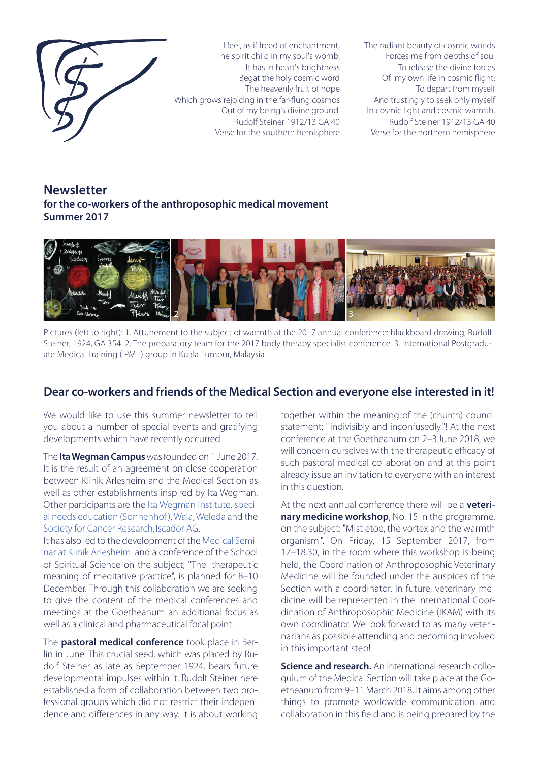

I feel, as if freed of enchantment, The spirit child in my soul's womb, It has in heart's brightness Begat the holy cosmic word The heavenly fruit of hope Which grows rejoicing in the far-flung cosmos Out of my being's divine ground. Rudolf Steiner 1912/13 GA 40 Verse for the southern hemisphere

The radiant beauty of cosmic worlds Forces me from depths of soul To release the divine forces Of my own life in cosmic flight; To depart from myself And trustingly to seek only myself In cosmic light and cosmic warmth. Rudolf Steiner 1912/13 GA 40 Verse for the northern hemisphere

# **Newsletter for the co-workers of the anthroposophic medical movement Summer 2017**



Pictures (left to right): 1. Attunement to the subject of warmth at the 2017 annual conference: blackboard drawing, Rudolf Steiner, 1924, GA 354. 2. The preparatory team for the 2017 body therapy specialist conference. 3. International Postgraduate Medical Training (IPMT) group in Kuala Lumpur, Malaysia

## **Dear co-workers and friends of the Medical Section and everyone else interested in it!**

We would like to use this summer newsletter to tell you about a number of special events and gratifying developments which have recently occurred.

The **Ita Wegman Campus** was founded on 1 June 2017. It is the result of an agreement on close cooperation between Klinik Arlesheim and the Medical Section as well as other establishments inspired by Ita Wegman. Other participants are the Ita Wegman Institute, special needs education (Sonnenhof), Wala, Weleda and the Society for Cancer Research, Iscador AG.

It has also led to the development of the Medical Seminar at Klinik Arlesheim and a conference of the School of Spiritual Science on the subject, "The therapeutic meaning of meditative practice", is planned for 8–10 December. Through this collaboration we are seeking to give the content of the medical conferences and meetings at the Goetheanum an additional focus as well as a clinical and pharmaceutical focal point.

The **pastoral medical conference** took place in Berlin in June. This crucial seed, which was placed by Rudolf Steiner as late as September 1924, bears future developmental impulses within it. Rudolf Steiner here established a form of collaboration between two professional groups which did not restrict their independence and differences in any way. It is about working together within the meaning of the (church) council statement: "indivisibly and inconfusedly "! At the next conference at the Goetheanum on 2–3 June 2018, we will concern ourselves with the therapeutic efficacy of such pastoral medical collaboration and at this point already issue an invitation to everyone with an interest in this question.

At the next annual conference there will be a **veterinary medicine workshop**, No. 15 in the programme, on the subject: "Mistletoe, the vortex and the warmth organism ". On Friday, 15 September 2017, from 17–18.30, in the room where this workshop is being held, the Coordination of Anthroposophic Veterinary Medicine will be founded under the auspices of the Section with a coordinator. In future, veterinary medicine will be represented in the International Coordination of Anthroposophic Medicine (IKAM) with its own coordinator. We look forward to as many veterinarians as possible attending and becoming involved in this important step!

**Science and research.** An international research colloquium of the Medical Section will take place at the Goetheanum from 9–11 March 2018. It aims among other things to promote worldwide communication and collaboration in this field and is being prepared by the